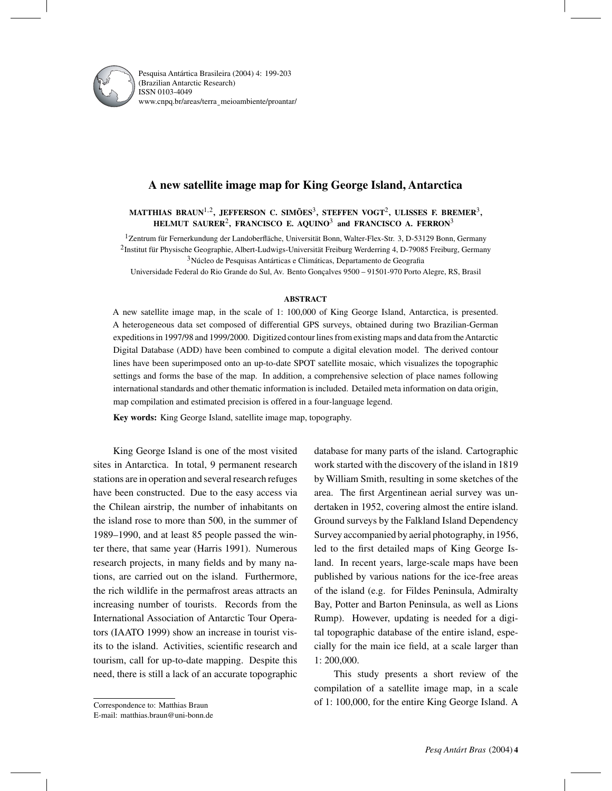

Pesquisa Antártica Brasileira (2004) 4: 199-203 (Brazilian Antarctic Research) ISSN 0103-4049 www.cnpq.br/areas/terra¯ meioambiente/proantar/

# **A new satellite image map for King George Island, Antarctica**

# **MATTHIAS BRAUN**1,2**, JEFFERSON C. SIMÕES**3**, STEFFEN VOGT**2**, ULISSES F. BREMER**3**, HELMUT SAURER**2**, FRANCISCO E. AQUINO**<sup>3</sup> **and FRANCISCO A. FERRON**<sup>3</sup>

<sup>1</sup>Zentrum für Fernerkundung der Landoberfläche, Universität Bonn, Walter-Flex-Str. 3, D-53129 Bonn, Germany 2Institut für Physische Geographie, Albert-Ludwigs-Universität Freiburg Werderring 4, D-79085 Freiburg, Germany 3Núcleo de Pesquisas Antárticas e Climáticas, Departamento de Geografia

Universidade Federal do Rio Grande do Sul, Av. Bento Gonçalves 9500 – 91501-970 Porto Alegre, RS, Brasil

### **ABSTRACT**

A new satellite image map, in the scale of 1: 100,000 of King George Island, Antarctica, is presented. A heterogeneous data set composed of differential GPS surveys, obtained during two Brazilian-German expeditions in 1997/98 and 1999/2000. Digitized contour lines from existing maps and data from theAntarctic Digital Database (ADD) have been combined to compute a digital elevation model. The derived contour lines have been superimposed onto an up-to-date SPOT satellite mosaic, which visualizes the topographic settings and forms the base of the map. In addition, a comprehensive selection of place names following international standards and other thematic information is included. Detailed meta information on data origin, map compilation and estimated precision is offered in a four-language legend.

**Key words:** King George Island, satellite image map, topography.

King George Island is one of the most visited sites in Antarctica. In total, 9 permanent research stations are in operation and several research refuges have been constructed. Due to the easy access via the Chilean airstrip, the number of inhabitants on the island rose to more than 500, in the summer of 1989–1990, and at least 85 people passed the winter there, that same year (Harris 1991). Numerous research projects, in many fields and by many nations, are carried out on the island. Furthermore, the rich wildlife in the permafrost areas attracts an increasing number of tourists. Records from the International Association of Antarctic Tour Operators (IAATO 1999) show an increase in tourist visits to the island. Activities, scientific research and tourism, call for up-to-date mapping. Despite this need, there is still a lack of an accurate topographic

This study presents a short review of the compilation of a satellite image map, in a scale of 1: 100,000, for the entire King George Island. A

database for many parts of the island. Cartographic work started with the discovery of the island in 1819 by William Smith, resulting in some sketches of the area. The first Argentinean aerial survey was undertaken in 1952, covering almost the entire island. Ground surveys by the Falkland Island Dependency Survey accompanied by aerial photography, in 1956, led to the first detailed maps of King George Island. In recent years, large-scale maps have been published by various nations for the ice-free areas of the island (e.g. for Fildes Peninsula, Admiralty Bay, Potter and Barton Peninsula, as well as Lions Rump). However, updating is needed for a digital topographic database of the entire island, especially for the main ice field, at a scale larger than 1: 200,000.

Correspondence to: Matthias Braun

E-mail: matthias.braun@uni-bonn.de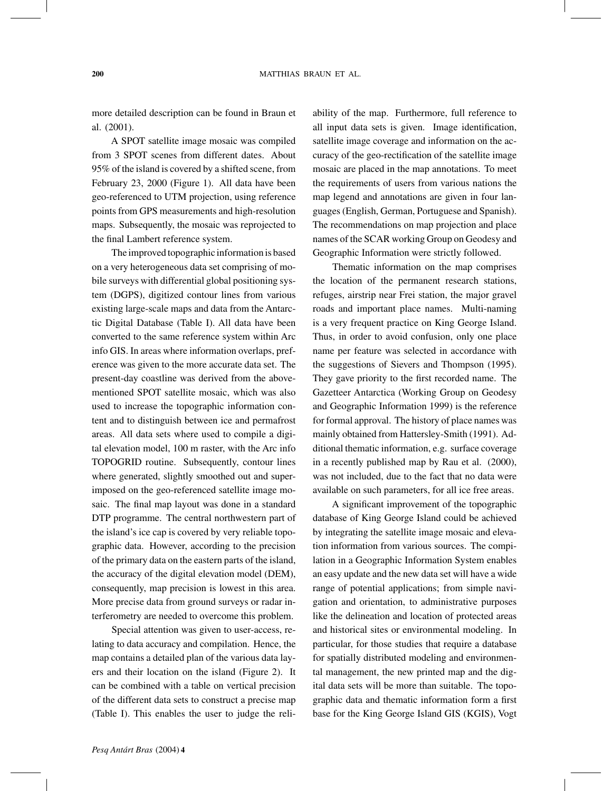more detailed description can be found in Braun et al. (2001).

A SPOT satellite image mosaic was compiled from 3 SPOT scenes from different dates. About 95% of the island is covered by a shifted scene, from February 23, 2000 (Figure 1). All data have been geo-referenced to UTM projection, using reference points from GPS measurements and high-resolution maps. Subsequently, the mosaic was reprojected to the final Lambert reference system.

The improved topographic information is based on a very heterogeneous data set comprising of mobile surveys with differential global positioning system (DGPS), digitized contour lines from various existing large-scale maps and data from the Antarctic Digital Database (Table I). All data have been converted to the same reference system within Arc info GIS. In areas where information overlaps, preference was given to the more accurate data set. The present-day coastline was derived from the abovementioned SPOT satellite mosaic, which was also used to increase the topographic information content and to distinguish between ice and permafrost areas. All data sets where used to compile a digital elevation model, 100 m raster, with the Arc info TOPOGRID routine. Subsequently, contour lines where generated, slightly smoothed out and superimposed on the geo-referenced satellite image mosaic. The final map layout was done in a standard DTP programme. The central northwestern part of the island's ice cap is covered by very reliable topographic data. However, according to the precision of the primary data on the eastern parts of the island, the accuracy of the digital elevation model (DEM), consequently, map precision is lowest in this area. More precise data from ground surveys or radar interferometry are needed to overcome this problem.

Special attention was given to user-access, relating to data accuracy and compilation. Hence, the map contains a detailed plan of the various data layers and their location on the island (Figure 2). It can be combined with a table on vertical precision of the different data sets to construct a precise map (Table I). This enables the user to judge the reliability of the map. Furthermore, full reference to all input data sets is given. Image identification, satellite image coverage and information on the accuracy of the geo-rectification of the satellite image mosaic are placed in the map annotations. To meet the requirements of users from various nations the map legend and annotations are given in four languages (English, German, Portuguese and Spanish). The recommendations on map projection and place names of the SCAR working Group on Geodesy and Geographic Information were strictly followed.

Thematic information on the map comprises the location of the permanent research stations, refuges, airstrip near Frei station, the major gravel roads and important place names. Multi-naming is a very frequent practice on King George Island. Thus, in order to avoid confusion, only one place name per feature was selected in accordance with the suggestions of Sievers and Thompson (1995). They gave priority to the first recorded name. The Gazetteer Antarctica (Working Group on Geodesy and Geographic Information 1999) is the reference for formal approval. The history of place names was mainly obtained from Hattersley-Smith (1991). Additional thematic information, e.g. surface coverage in a recently published map by Rau et al. (2000), was not included, due to the fact that no data were available on such parameters, for all ice free areas.

A significant improvement of the topographic database of King George Island could be achieved by integrating the satellite image mosaic and elevation information from various sources. The compilation in a Geographic Information System enables an easy update and the new data set will have a wide range of potential applications; from simple navigation and orientation, to administrative purposes like the delineation and location of protected areas and historical sites or environmental modeling. In particular, for those studies that require a database for spatially distributed modeling and environmental management, the new printed map and the digital data sets will be more than suitable. The topographic data and thematic information form a first base for the King George Island GIS (KGIS), Vogt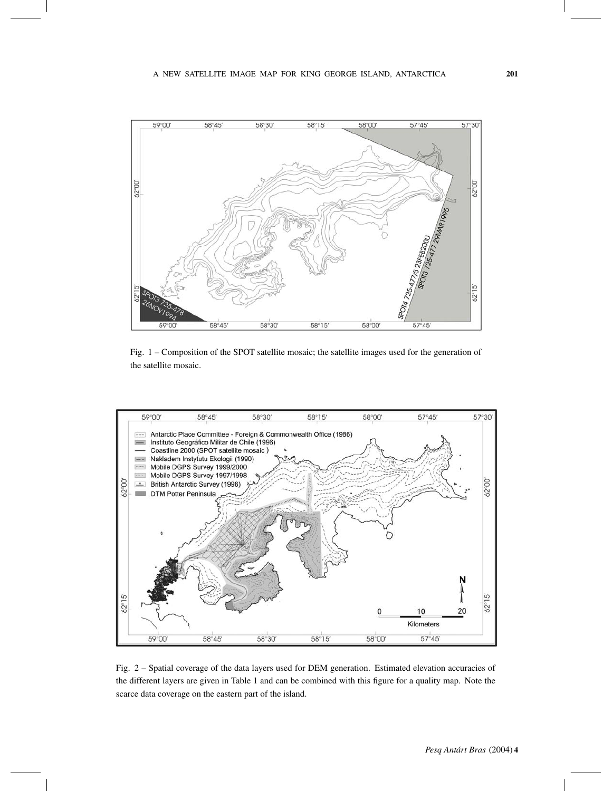

Fig. 1 – Composition of the SPOT satellite mosaic; the satellite images used for the generation of the satellite mosaic.



Fig. 2 – Spatial coverage of the data layers used for DEM generation. Estimated elevation accuracies of the different layers are given in Table 1 and can be combined with this figure for a quality map. Note the scarce data coverage on the eastern part of the island.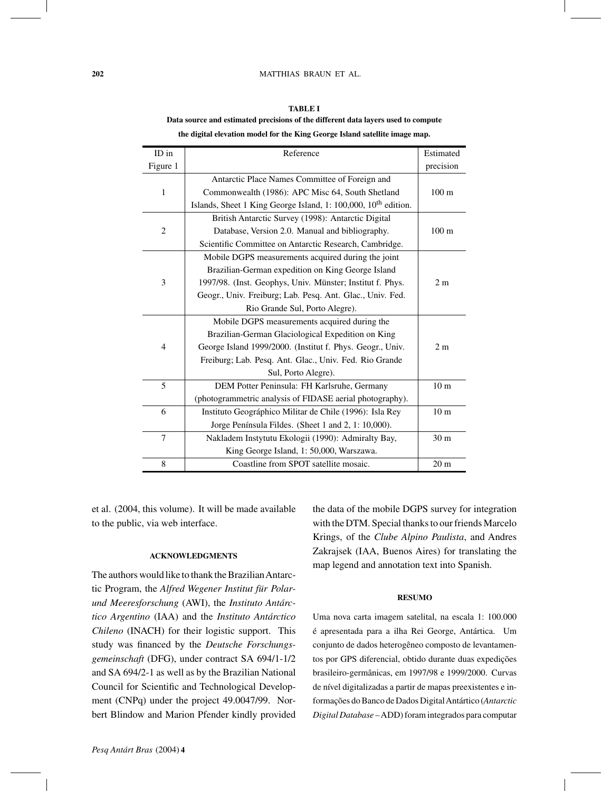#### **202** MATTHIAS BRAUN ET AL.

| ID in        | Reference                                                                  | Estimated        |
|--------------|----------------------------------------------------------------------------|------------------|
| Figure 1     |                                                                            | precision        |
|              | Antarctic Place Names Committee of Foreign and                             |                  |
| $\mathbf{1}$ | Commonwealth (1986): APC Misc 64, South Shetland                           | 100 <sub>m</sub> |
|              | Islands, Sheet 1 King George Island, 1: 100,000, 10 <sup>th</sup> edition. |                  |
|              | British Antarctic Survey (1998): Antarctic Digital                         |                  |
| 2            | Database, Version 2.0. Manual and bibliography.                            | 100 <sub>m</sub> |
|              | Scientific Committee on Antarctic Research, Cambridge.                     |                  |
|              | Mobile DGPS measurements acquired during the joint                         |                  |
|              | Brazilian-German expedition on King George Island                          |                  |
| 3            | 1997/98. (Inst. Geophys, Univ. Münster; Institut f. Phys.                  | 2 <sub>m</sub>   |
|              | Geogr., Univ. Freiburg; Lab. Pesq. Ant. Glac., Univ. Fed.                  |                  |
|              | Rio Grande Sul, Porto Alegre).                                             |                  |
|              | Mobile DGPS measurements acquired during the                               |                  |
|              | Brazilian-German Glaciological Expedition on King                          |                  |
| 4            | George Island 1999/2000. (Institut f. Phys. Geogr., Univ.                  | 2m               |
|              | Freiburg; Lab. Pesq. Ant. Glac., Univ. Fed. Rio Grande                     |                  |
|              | Sul, Porto Alegre).                                                        |                  |
| 5            | DEM Potter Peninsula: FH Karlsruhe, Germany                                | 10 <sub>m</sub>  |
|              | (photogrammetric analysis of FIDASE aerial photography).                   |                  |
| 6            | Instituto Geográphico Militar de Chile (1996): Isla Rey                    | 10 <sub>m</sub>  |
|              | Jorge Península Fildes. (Sheet 1 and 2, 1: 10,000).                        |                  |
| 7            | Nakladem Instytutu Ekologii (1990): Admiralty Bay,                         | 30 <sub>m</sub>  |
|              | King George Island, 1: 50,000, Warszawa.                                   |                  |
| 8            | Coastline from SPOT satellite mosaic.                                      | 20 <sub>m</sub>  |

**TABLE I Data source and estimated precisions of the different data layers used to compute the digital elevation model for the King George Island satellite image map.**

et al. (2004, this volume). It will be made available to the public, via web interface.

## **ACKNOWLEDGMENTS**

The authors would like to thank the BrazilianAntarctic Program, the *Alfred Wegener Institut für Polarund Meeresforschung* (AWI), the *Instituto Antárctico Argentino* (IAA) and the *Instituto Antárctico Chileno* (INACH) for their logistic support. This study was financed by the *Deutsche Forschungsgemeinschaft* (DFG), under contract SA 694/1-1/2 and SA 694/2-1 as well as by the Brazilian National Council for Scientific and Technological Development (CNPq) under the project 49.0047/99. Norbert Blindow and Marion Pfender kindly provided the data of the mobile DGPS survey for integration with the DTM. Special thanks to our friends Marcelo Krings, of the *Clube Alpino Paulista*, and Andres Zakrajsek (IAA, Buenos Aires) for translating the map legend and annotation text into Spanish.

# **RESUMO**

Uma nova carta imagem satelital, na escala 1: 100.000 é apresentada para a ilha Rei George, Antártica. Um conjunto de dados heterogêneo composto de levantamentos por GPS diferencial, obtido durante duas expedições brasileiro-germânicas, em 1997/98 e 1999/2000. Curvas de nível digitalizadas a partir de mapas preexistentes e informações do Banco de Dados DigitalAntártico (*Antarctic Digital Database* –ADD) foram integrados para computar